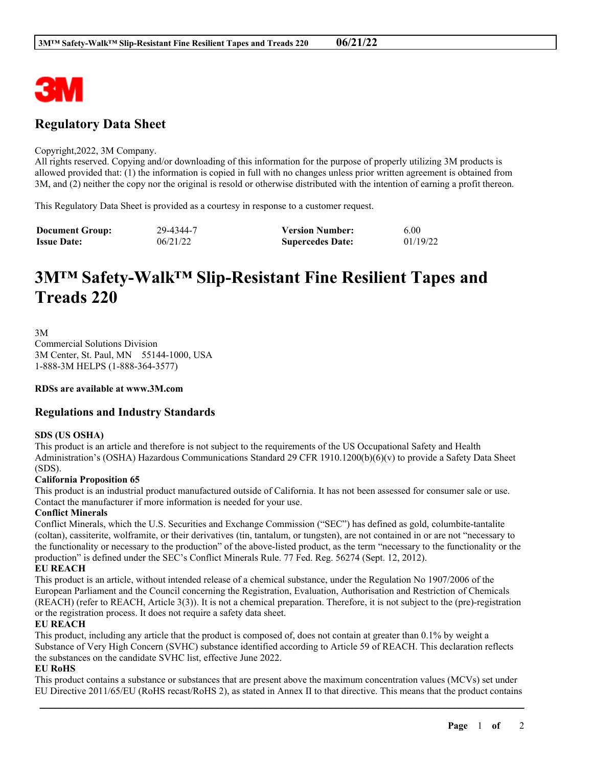

# **Regulatory Data Sheet**

#### Copyright,2022, 3M Company.

All rights reserved. Copying and/or downloading of this information for the purpose of properly utilizing 3M products is allowed provided that: (1) the information is copied in full with no changes unless prior written agreement is obtained from 3M, and (2) neither the copy nor the original is resold or otherwise distributed with the intention of earning a profit thereon.

This Regulatory Data Sheet is provided as a courtesy in response to a customer request.

| <b>Document Group:</b> | 29-4344-7 | <b>Version Number:</b>  | 6.00     |
|------------------------|-----------|-------------------------|----------|
| <b>Issue Date:</b>     | 06/21/22  | <b>Supercedes Date:</b> | 01/19/22 |

# **3M™ Safety-Walk™ Slip-Resistant Fine Resilient Tapes and Treads 220**

3M Commercial Solutions Division

3M Center, St. Paul, MN 55144-1000, USA 1-888-3M HELPS (1-888-364-3577)

**RDSs are available at www.3M.com**

# **Regulations and Industry Standards**

# **SDS (US OSHA)**

This product is an article and therefore is not subject to the requirements of the US Occupational Safety and Health Administration's (OSHA) Hazardous Communications Standard 29 CFR 1910.1200(b)(6)(v) to provide a Safety Data Sheet (SDS).

#### **California Proposition 65**

This product is an industrial product manufactured outside of California. It has not been assessed for consumer sale or use. Contact the manufacturer if more information is needed for your use.

#### **Conflict Minerals**

Conflict Minerals, which the U.S. Securities and Exchange Commission ("SEC") has defined as gold, columbite-tantalite (coltan), cassiterite, wolframite, or their derivatives (tin, tantalum, or tungsten), are not contained in or are not "necessary to the functionality or necessary to the production" of the above-listed product, as the term "necessary to the functionality or the production" is defined under the SEC's Conflict Minerals Rule. 77 Fed. Reg. 56274 (Sept. 12, 2012).

# **EU REACH**

This product is an article, without intended release of a chemical substance, under the Regulation No 1907/2006 of the European Parliament and the Council concerning the Registration, Evaluation, Authorisation and Restriction of Chemicals (REACH) (refer to REACH, Article 3(3)). It is not a chemical preparation. Therefore, it is not subject to the (pre)-registration or the registration process. It does not require a safety data sheet.

#### **EU REACH**

This product, including any article that the product is composed of, does not contain at greater than 0.1% by weight a Substance of Very High Concern (SVHC) substance identified according to Article 59 of REACH. This declaration reflects the substances on the candidate SVHC list, effective June 2022.

# **EU RoHS**

This product contains a substance or substances that are present above the maximum concentration values (MCVs) set under EU Directive 2011/65/EU (RoHS recast/RoHS 2), as stated in Annex II to that directive. This means that the product contains

\_\_\_\_\_\_\_\_\_\_\_\_\_\_\_\_\_\_\_\_\_\_\_\_\_\_\_\_\_\_\_\_\_\_\_\_\_\_\_\_\_\_\_\_\_\_\_\_\_\_\_\_\_\_\_\_\_\_\_\_\_\_\_\_\_\_\_\_\_\_\_\_\_\_\_\_\_\_\_\_\_\_\_\_\_\_\_\_\_\_